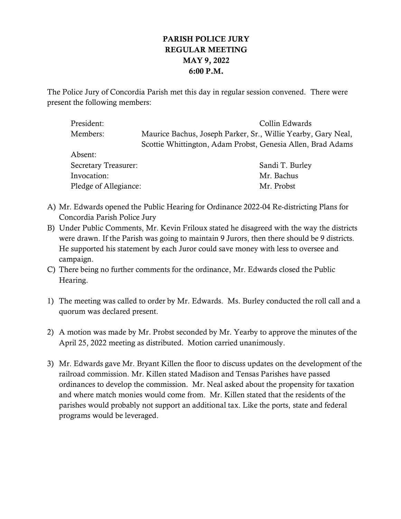## PARISH POLICE JURY REGULAR MEETING MAY 9, 2022 6:00 P.M.

The Police Jury of Concordia Parish met this day in regular session convened. There were present the following members:

| President:            | Collin Edwards                                                |
|-----------------------|---------------------------------------------------------------|
| Members:              | Maurice Bachus, Joseph Parker, Sr., Willie Yearby, Gary Neal, |
|                       | Scottie Whittington, Adam Probst, Genesia Allen, Brad Adams   |
| Absent:               |                                                               |
| Secretary Treasurer:  | Sandi T. Burley                                               |
| Invocation:           | Mr. Bachus                                                    |
| Pledge of Allegiance: | Mr. Probst                                                    |

- A) Mr. Edwards opened the Public Hearing for Ordinance 2022-04 Re-districting Plans for Concordia Parish Police Jury
- B) Under Public Comments, Mr. Kevin Friloux stated he disagreed with the way the districts were drawn. If the Parish was going to maintain 9 Jurors, then there should be 9 districts. He supported his statement by each Juror could save money with less to oversee and campaign.
- C) There being no further comments for the ordinance, Mr. Edwards closed the Public Hearing.
- 1) The meeting was called to order by Mr. Edwards. Ms. Burley conducted the roll call and a quorum was declared present.
- 2) A motion was made by Mr. Probst seconded by Mr. Yearby to approve the minutes of the April 25, 2022 meeting as distributed. Motion carried unanimously.
- 3) Mr. Edwards gave Mr. Bryant Killen the floor to discuss updates on the development of the railroad commission. Mr. Killen stated Madison and Tensas Parishes have passed ordinances to develop the commission. Mr. Neal asked about the propensity for taxation and where match monies would come from. Mr. Killen stated that the residents of the parishes would probably not support an additional tax. Like the ports, state and federal programs would be leveraged.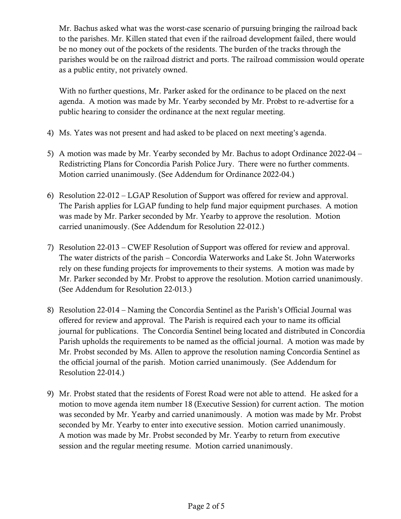Mr. Bachus asked what was the worst-case scenario of pursuing bringing the railroad back to the parishes. Mr. Killen stated that even if the railroad development failed, there would be no money out of the pockets of the residents. The burden of the tracks through the parishes would be on the railroad district and ports. The railroad commission would operate as a public entity, not privately owned.

With no further questions, Mr. Parker asked for the ordinance to be placed on the next agenda. A motion was made by Mr. Yearby seconded by Mr. Probst to re-advertise for a public hearing to consider the ordinance at the next regular meeting.

- 4) Ms. Yates was not present and had asked to be placed on next meeting's agenda.
- 5) A motion was made by Mr. Yearby seconded by Mr. Bachus to adopt Ordinance 2022-04 Redistricting Plans for Concordia Parish Police Jury. There were no further comments. Motion carried unanimously. (See Addendum for Ordinance 2022-04.)
- 6) Resolution 22-012 LGAP Resolution of Support was offered for review and approval. The Parish applies for LGAP funding to help fund major equipment purchases. A motion was made by Mr. Parker seconded by Mr. Yearby to approve the resolution. Motion carried unanimously. (See Addendum for Resolution 22-012.)
- 7) Resolution 22-013 CWEF Resolution of Support was offered for review and approval. The water districts of the parish – Concordia Waterworks and Lake St. John Waterworks rely on these funding projects for improvements to their systems. A motion was made by Mr. Parker seconded by Mr. Probst to approve the resolution. Motion carried unanimously. (See Addendum for Resolution 22-013.)
- 8) Resolution 22-014 Naming the Concordia Sentinel as the Parish's Official Journal was offered for review and approval. The Parish is required each your to name its official journal for publications. The Concordia Sentinel being located and distributed in Concordia Parish upholds the requirements to be named as the official journal. A motion was made by Mr. Probst seconded by Ms. Allen to approve the resolution naming Concordia Sentinel as the official journal of the parish. Motion carried unanimously. (See Addendum for Resolution 22-014.)
- 9) Mr. Probst stated that the residents of Forest Road were not able to attend. He asked for a motion to move agenda item number 18 (Executive Session) for current action. The motion was seconded by Mr. Yearby and carried unanimously. A motion was made by Mr. Probst seconded by Mr. Yearby to enter into executive session. Motion carried unanimously. A motion was made by Mr. Probst seconded by Mr. Yearby to return from executive session and the regular meeting resume. Motion carried unanimously.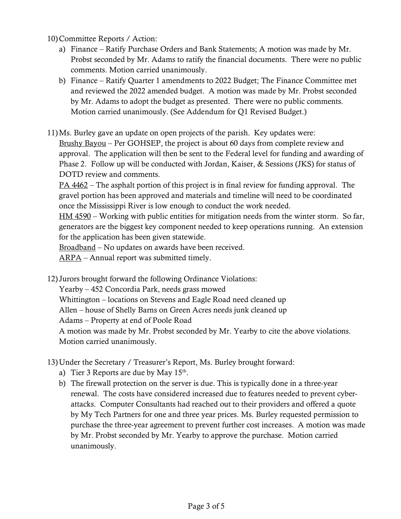10)Committee Reports / Action:

- a) Finance Ratify Purchase Orders and Bank Statements; A motion was made by Mr. Probst seconded by Mr. Adams to ratify the financial documents. There were no public comments. Motion carried unanimously.
- b) Finance Ratify Quarter 1 amendments to 2022 Budget; The Finance Committee met and reviewed the 2022 amended budget. A motion was made by Mr. Probst seconded by Mr. Adams to adopt the budget as presented. There were no public comments. Motion carried unanimously. (See Addendum for Q1 Revised Budget.)
- 11)Ms. Burley gave an update on open projects of the parish. Key updates were:

Brushy Bayou – Per GOHSEP, the project is about 60 days from complete review and approval. The application will then be sent to the Federal level for funding and awarding of Phase 2. Follow up will be conducted with Jordan, Kaiser, & Sessions (JKS) for status of DOTD review and comments.

PA 4462 – The asphalt portion of this project is in final review for funding approval. The gravel portion has been approved and materials and timeline will need to be coordinated once the Mississippi River is low enough to conduct the work needed.

HM 4590 – Working with public entities for mitigation needs from the winter storm. So far, generators are the biggest key component needed to keep operations running. An extension for the application has been given statewide.

Broadband – No updates on awards have been received.

ARPA – Annual report was submitted timely.

12) Jurors brought forward the following Ordinance Violations:

Yearby – 452 Concordia Park, needs grass mowed

Whittington – locations on Stevens and Eagle Road need cleaned up

Allen – house of Shelly Barns on Green Acres needs junk cleaned up

Adams – Property at end of Poole Road

A motion was made by Mr. Probst seconded by Mr. Yearby to cite the above violations. Motion carried unanimously.

13) Under the Secretary / Treasurer's Report, Ms. Burley brought forward:

- a) Tier 3 Reports are due by May  $15<sup>th</sup>$ .
- b) The firewall protection on the server is due. This is typically done in a three-year renewal. The costs have considered increased due to features needed to prevent cyberattacks. Computer Consultants had reached out to their providers and offered a quote by My Tech Partners for one and three year prices. Ms. Burley requested permission to purchase the three-year agreement to prevent further cost increases. A motion was made by Mr. Probst seconded by Mr. Yearby to approve the purchase. Motion carried unanimously.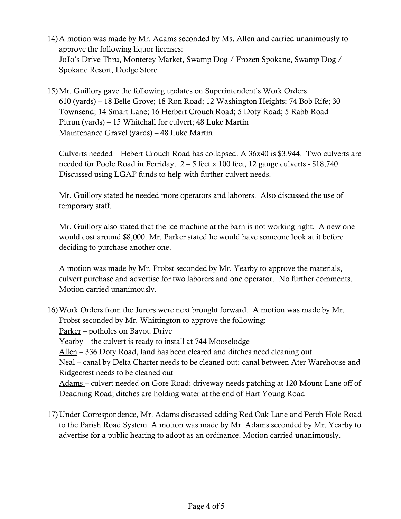- 14)A motion was made by Mr. Adams seconded by Ms. Allen and carried unanimously to approve the following liquor licenses: JoJo's Drive Thru, Monterey Market, Swamp Dog / Frozen Spokane, Swamp Dog / Spokane Resort, Dodge Store
- 15)Mr. Guillory gave the following updates on Superintendent's Work Orders. 610 (yards) – 18 Belle Grove; 18 Ron Road; 12 Washington Heights; 74 Bob Rife; 30 Townsend; 14 Smart Lane; 16 Herbert Crouch Road; 5 Doty Road; 5 Rabb Road Pitrun (yards) – 15 Whitehall for culvert; 48 Luke Martin Maintenance Gravel (yards) – 48 Luke Martin

Culverts needed – Hebert Crouch Road has collapsed. A 36x40 is \$3,944. Two culverts are needed for Poole Road in Ferriday. 2 – 5 feet x 100 feet, 12 gauge culverts - \$18,740. Discussed using LGAP funds to help with further culvert needs.

Mr. Guillory stated he needed more operators and laborers. Also discussed the use of temporary staff.

Mr. Guillory also stated that the ice machine at the barn is not working right. A new one would cost around \$8,000. Mr. Parker stated he would have someone look at it before deciding to purchase another one.

A motion was made by Mr. Probst seconded by Mr. Yearby to approve the materials, culvert purchase and advertise for two laborers and one operator. No further comments. Motion carried unanimously.

- 16)Work Orders from the Jurors were next brought forward. A motion was made by Mr. Probst seconded by Mr. Whittington to approve the following: Parker – potholes on Bayou Drive Yearby – the culvert is ready to install at 744 Mooselodge  $Allen - 336$  Doty Road, land has been cleared and ditches need cleaning out Neal – canal by Delta Charter needs to be cleaned out; canal between Ater Warehouse and Ridgecrest needs to be cleaned out Adams – culvert needed on Gore Road; driveway needs patching at 120 Mount Lane off of Deadning Road; ditches are holding water at the end of Hart Young Road
- 17) Under Correspondence, Mr. Adams discussed adding Red Oak Lane and Perch Hole Road to the Parish Road System. A motion was made by Mr. Adams seconded by Mr. Yearby to advertise for a public hearing to adopt as an ordinance. Motion carried unanimously.